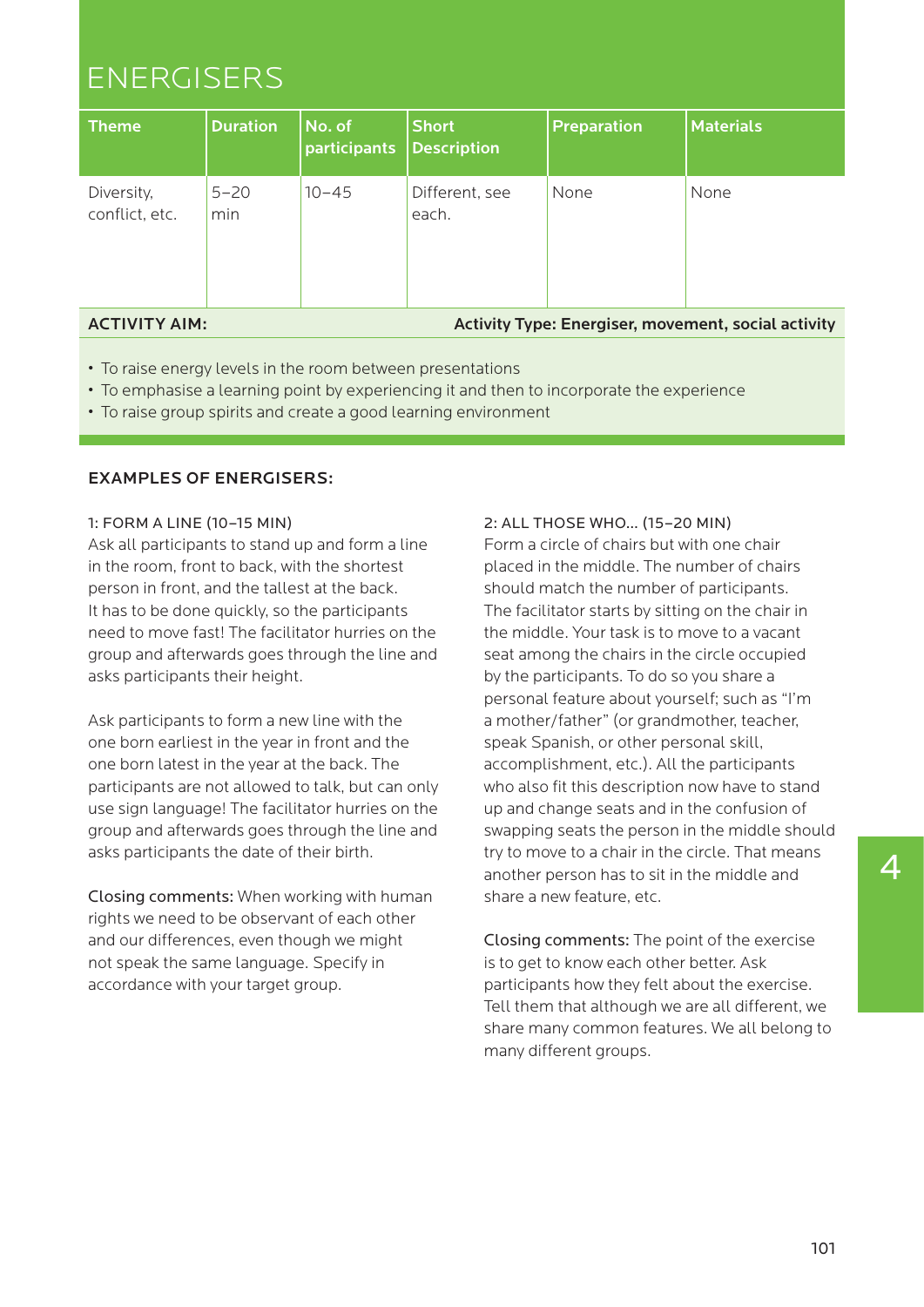# ENERGISERS

| <b>Theme</b>                 | <b>Duration</b> | $ $ No. of<br>participants | <b>Short</b><br><b>Description</b> | <b>Preparation</b> | <b>Materials</b> |
|------------------------------|-----------------|----------------------------|------------------------------------|--------------------|------------------|
| Diversity,<br>conflict, etc. | $5 - 20$<br>min | $10 - 45$                  | Different, see<br>each.            | None               | None             |

# ACTIVITY AIM:

Activity Type: Energiser, movement, social activity

- To raise energy levels in the room between presentations
- To emphasise a learning point by experiencing it and then to incorporate the experience
- To raise group spirits and create a good learning environment

# EXAMPLES OF ENERGISERS:

# 1: FORM A LINE (10–15 MIN)

Ask all participants to stand up and form a line in the room, front to back, with the shortest person in front, and the tallest at the back. It has to be done quickly, so the participants need to move fast! The facilitator hurries on the group and afterwards goes through the line and asks participants their height.

Ask participants to form a new line with the one born earliest in the year in front and the one born latest in the year at the back. The participants are not allowed to talk, but can only use sign language! The facilitator hurries on the group and afterwards goes through the line and asks participants the date of their birth.

Closing comments: When working with human rights we need to be observant of each other and our differences, even though we might not speak the same language. Specify in accordance with your target group.

# 2: ALL THOSE WHO… (15–20 MIN)

Form a circle of chairs but with one chair placed in the middle. The number of chairs should match the number of participants. The facilitator starts by sitting on the chair in the middle. Your task is to move to a vacant seat among the chairs in the circle occupied by the participants. To do so you share a personal feature about yourself; such as "I'm a mother/father" (or grandmother, teacher, speak Spanish, or other personal skill, accomplishment, etc.). All the participants who also fit this description now have to stand up and change seats and in the confusion of swapping seats the person in the middle should try to move to a chair in the circle. That means another person has to sit in the middle and share a new feature, etc.

Closing comments: The point of the exercise is to get to know each other better. Ask participants how they felt about the exercise. Tell them that although we are all different, we share many common features. We all belong to many different groups.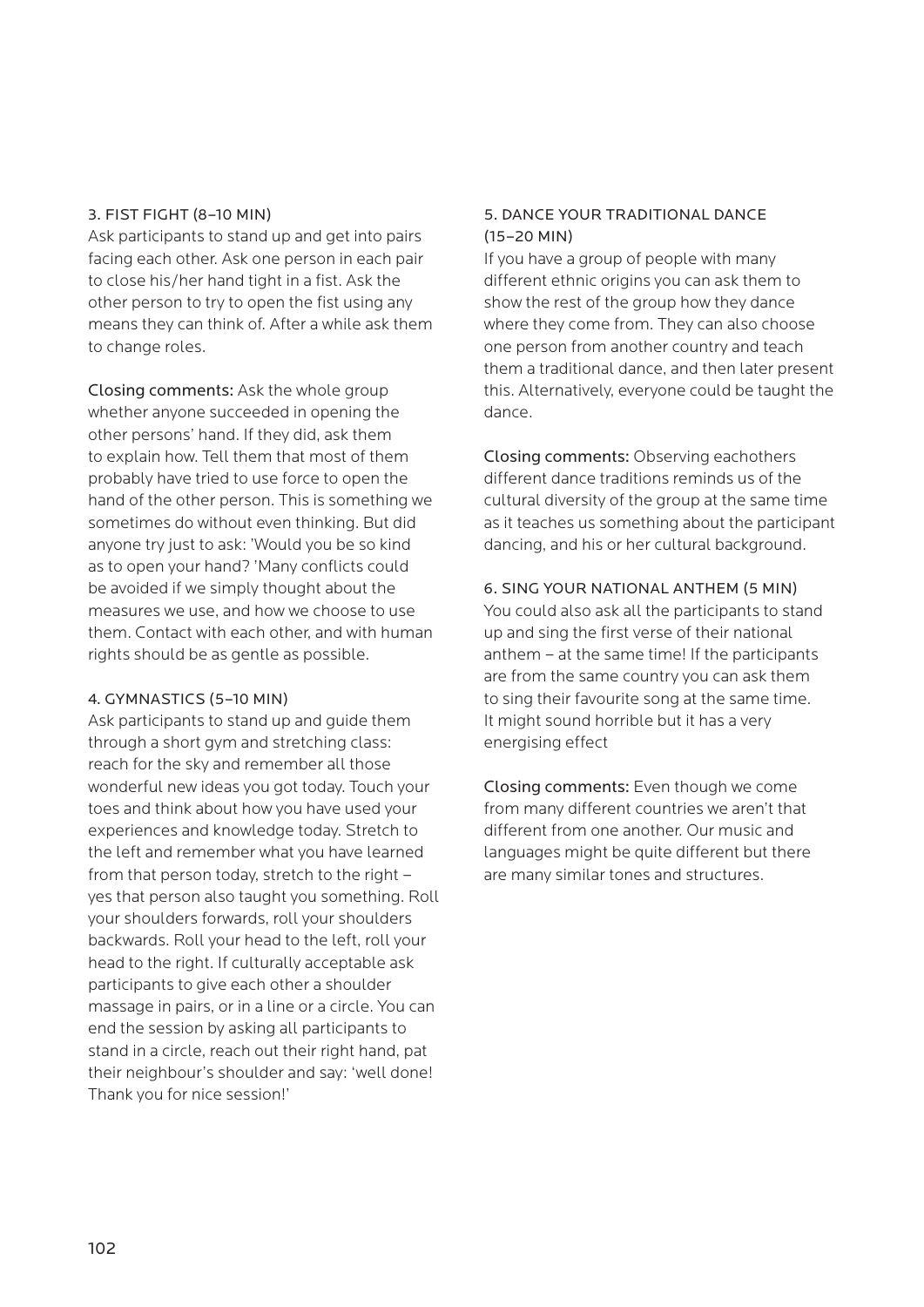### 3. FIST FIGHT (8–10 MIN)

Ask participants to stand up and get into pairs facing each other. Ask one person in each pair to close his/her hand tight in a fist. Ask the other person to try to open the fist using any means they can think of. After a while ask them to change roles.

Closing comments: Ask the whole group whether anyone succeeded in opening the other persons' hand. If they did, ask them to explain how. Tell them that most of them probably have tried to use force to open the hand of the other person. This is something we sometimes do without even thinking. But did anyone try just to ask: 'Would you be so kind as to open your hand? 'Many conflicts could be avoided if we simply thought about the measures we use, and how we choose to use them. Contact with each other, and with human rights should be as gentle as possible.

# 4. GYMNASTICS (5–10 MIN)

Ask participants to stand up and guide them through a short gym and stretching class: reach for the sky and remember all those wonderful new ideas you got today. Touch your toes and think about how you have used your experiences and knowledge today. Stretch to the left and remember what you have learned from that person today, stretch to the right – yes that person also taught you something. Roll your shoulders forwards, roll your shoulders backwards. Roll your head to the left, roll your head to the right. If culturally acceptable ask participants to give each other a shoulder massage in pairs, or in a line or a circle. You can end the session by asking all participants to stand in a circle, reach out their right hand, pat their neighbour's shoulder and say: 'well done! Thank you for nice session!'

# 5. DANCE YOUR TRADITIONAL DANCE (15–20 MIN)

If you have a group of people with many different ethnic origins you can ask them to show the rest of the group how they dance where they come from. They can also choose one person from another country and teach them a traditional dance, and then later present this. Alternatively, everyone could be taught the dance.

Closing comments: Observing eachothers different dance traditions reminds us of the cultural diversity of the group at the same time as it teaches us something about the participant dancing, and his or her cultural background.

### 6. SING YOUR NATIONAL ANTHEM (5 MIN)

You could also ask all the participants to stand up and sing the first verse of their national anthem – at the same time! If the participants are from the same country you can ask them to sing their favourite song at the same time. It might sound horrible but it has a very energising effect

Closing comments: Even though we come from many different countries we aren't that different from one another. Our music and languages might be quite different but there are many similar tones and structures.